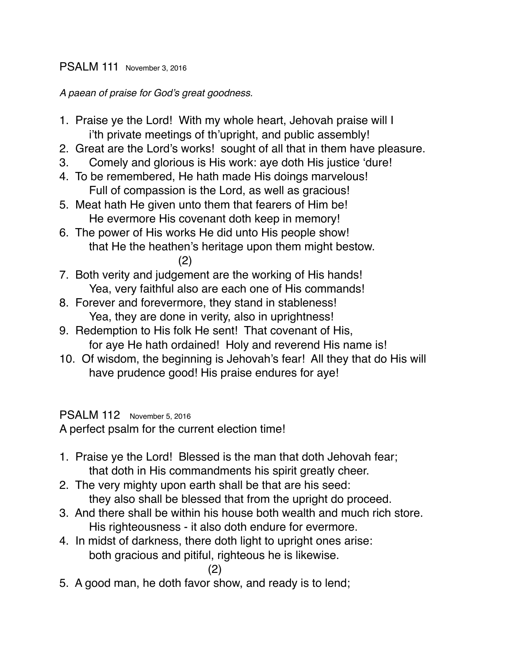### PSALM 111 November 3, 2016

*A paean of praise for God's great goodness.*

- 1. Praise ye the Lord! With my whole heart, Jehovah praise will I i'th private meetings of th'upright, and public assembly!
- 2. Great are the Lord's works! sought of all that in them have pleasure.
- 3. Comely and glorious is His work: aye doth His justice 'dure!
- 4. To be remembered, He hath made His doings marvelous! Full of compassion is the Lord, as well as gracious!
- 5. Meat hath He given unto them that fearers of Him be! He evermore His covenant doth keep in memory!
- 6. The power of His works He did unto His people show! that He the heathen's heritage upon them might bestow. (2)
- 7. Both verity and judgement are the working of His hands! Yea, very faithful also are each one of His commands!
- 8. Forever and forevermore, they stand in stableness! Yea, they are done in verity, also in uprightness!
- 9. Redemption to His folk He sent! That covenant of His, for aye He hath ordained! Holy and reverend His name is!
- 10. Of wisdom, the beginning is Jehovah's fear! All they that do His will have prudence good! His praise endures for aye!

# PSALM 112 November 5, 2016

A perfect psalm for the current election time!

- 1. Praise ye the Lord! Blessed is the man that doth Jehovah fear; that doth in His commandments his spirit greatly cheer.
- 2. The very mighty upon earth shall be that are his seed: they also shall be blessed that from the upright do proceed.
- 3. And there shall be within his house both wealth and much rich store. His righteousness - it also doth endure for evermore.
- 4. In midst of darkness, there doth light to upright ones arise: both gracious and pitiful, righteous he is likewise.

```
(2)
```
5. A good man, he doth favor show, and ready is to lend;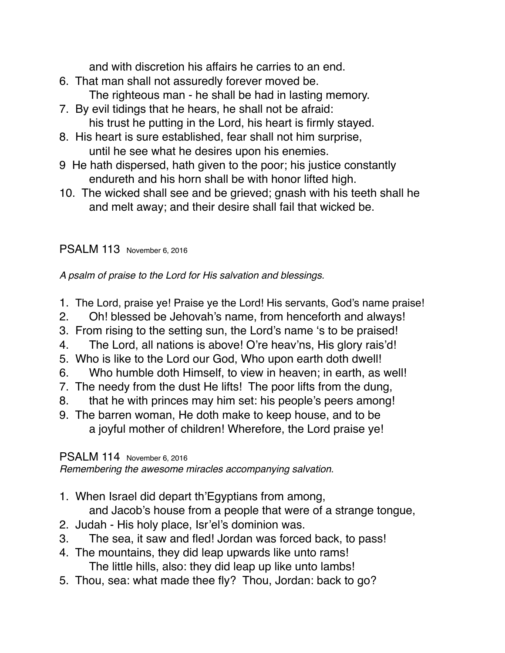and with discretion his affairs he carries to an end.

- 6. That man shall not assuredly forever moved be. The righteous man - he shall be had in lasting memory.
- 7. By evil tidings that he hears, he shall not be afraid: his trust he putting in the Lord, his heart is firmly stayed.
- 8. His heart is sure established, fear shall not him surprise, until he see what he desires upon his enemies.
- 9 He hath dispersed, hath given to the poor; his justice constantly endureth and his horn shall be with honor lifted high.
- 10. The wicked shall see and be grieved; gnash with his teeth shall he and melt away; and their desire shall fail that wicked be.

# PSALM 113 November 6, 2016

*A psalm of praise to the Lord for His salvation and blessings.*

- 1. The Lord, praise ye! Praise ye the Lord! His servants, God's name praise!
- 2. Oh! blessed be Jehovah's name, from henceforth and always!
- 3. From rising to the setting sun, the Lord's name 's to be praised!
- 4. The Lord, all nations is above! O're heav'ns, His glory rais'd!
- 5. Who is like to the Lord our God, Who upon earth doth dwell!
- 6. Who humble doth Himself, to view in heaven; in earth, as well!
- 7. The needy from the dust He lifts! The poor lifts from the dung,
- 8. that he with princes may him set: his people's peers among!
- 9. The barren woman, He doth make to keep house, and to be a joyful mother of children! Wherefore, the Lord praise ye!

# PSALM 114 November 6, 2016

*Remembering the awesome miracles accompanying salvation.*

1. When Israel did depart th'Egyptians from among,

and Jacob's house from a people that were of a strange tongue,

- 2. Judah His holy place, Isr'el's dominion was.
- 3. The sea, it saw and fled! Jordan was forced back, to pass!
- 4. The mountains, they did leap upwards like unto rams! The little hills, also: they did leap up like unto lambs!
- 5. Thou, sea: what made thee fly? Thou, Jordan: back to go?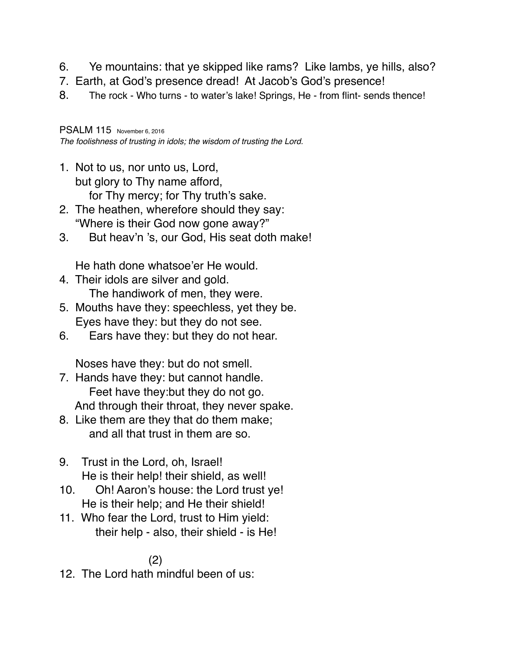- 6. Ye mountains: that ye skipped like rams? Like lambs, ye hills, also?
- 7. Earth, at God's presence dread! At Jacob's God's presence!
- 8. The rock Who turns to water's lake! Springs, He from flint- sends thence!

PSALM 115 November 6, 2016

*The foolishness of trusting in idols; the wisdom of trusting the Lord.*

- 1. Not to us, nor unto us, Lord, but glory to Thy name afford, for Thy mercy; for Thy truth's sake.
- 2. The heathen, wherefore should they say: "Where is their God now gone away?"
- 3. But heav'n 's, our God, His seat doth make!

He hath done whatsoe'er He would.

- 4. Their idols are silver and gold. The handiwork of men, they were.
- 5. Mouths have they: speechless, yet they be. Eyes have they: but they do not see.
- 6. Ears have they: but they do not hear.

Noses have they: but do not smell.

- 7. Hands have they: but cannot handle. Feet have they:but they do not go. And through their throat, they never spake.
- 8. Like them are they that do them make; and all that trust in them are so.
- 9. Trust in the Lord, oh, Israel! He is their help! their shield, as well!
- 10. Oh! Aaron's house: the Lord trust ye! He is their help; and He their shield!
- 11. Who fear the Lord, trust to Him yield: their help - also, their shield - is He!

# (2)

12. The Lord hath mindful been of us: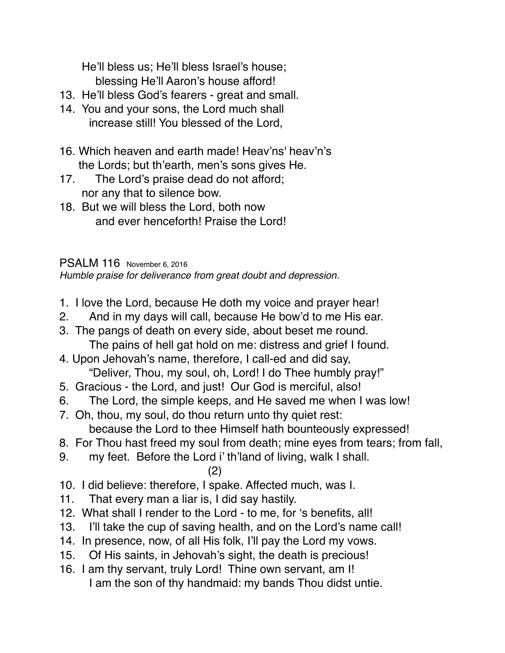He'll bless us; He'll bless Israel's house; blessing He'll Aaron's house afford!

- 13. He'll bless God's fearers great and small.
- 14. You and your sons, the Lord much shall increase still! You blessed of the Lord,
- 16. Which heaven and earth made! Heav'ns' heav'n's the Lords; but th'earth, men's sons gives He.
- 17. The Lord's praise dead do not afford; nor any that to silence bow.
- 18. But we will bless the Lord, both now and ever henceforth! Praise the Lord!

### PSALM 116 November 6, 2016

*Humble praise for deliverance from great doubt and depression.*

- 1. I love the Lord, because He doth my voice and prayer hear!
- 2. And in my days will call, because He bow'd to me His ear.
- 3. The pangs of death on every side, about beset me round. The pains of hell gat hold on me: distress and grief I found.
- 4. Upon Jehovah's name, therefore, I call-ed and did say, "Deliver, Thou, my soul, oh, Lord! I do Thee humbly pray!"
- 5. Gracious the Lord, and just! Our God is merciful, also!
- 6. The Lord, the simple keeps, and He saved me when I was low!
- 7. Oh, thou, my soul, do thou return unto thy quiet rest: because the Lord to thee Himself hath bounteously expressed!
- 8. For Thou hast freed my soul from death; mine eyes from tears; from fall,
- 9. my feet. Before the Lord i' th'land of living, walk I shall.

#### (2)

- 10. I did believe: therefore, I spake. Affected much, was I.
- 11. That every man a liar is, I did say hastily.
- 12. What shall I render to the Lord to me, for 's benefits, all!
- 13. I'll take the cup of saving health, and on the Lord's name call!
- 14. In presence, now, of all His folk, I'll pay the Lord my vows.
- 15. Of His saints, in Jehovah's sight, the death is precious!
- 16. I am thy servant, truly Lord! Thine own servant, am I! I am the son of thy handmaid: my bands Thou didst untie.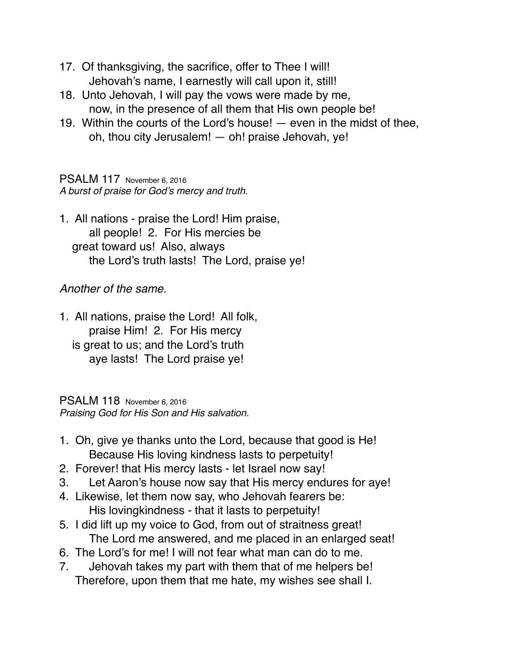- 17. Of thanksgiving, the sacrifice, offer to Thee I will! Jehovah's name, I earnestly will call upon it, still!
- 18. Unto Jehovah, I will pay the vows were made by me, now, in the presence of all them that His own people be!
- 19. Within the courts of the Lord's house! even in the midst of thee, oh, thou city Jerusalem! — oh! praise Jehovah, ye!

PSALM 117 November 6, 2016 *A burst of praise for God's mercy and truth.*

1. All nations - praise the Lord! Him praise, all people! 2. For His mercies be great toward us! Also, always the Lord's truth lasts! The Lord, praise ye!

## *Another of the same.*

1. All nations, praise the Lord! All folk, praise Him! 2. For His mercy is great to us; and the Lord's truth aye lasts! The Lord praise ye!

PSALM 118 November 6, 2016 *Praising God for His Son and His salvation.*

- 1. Oh, give ye thanks unto the Lord, because that good is He! Because His loving kindness lasts to perpetuity!
- 2. Forever! that His mercy lasts let Israel now say!
- 3. Let Aaron's house now say that His mercy endures for aye!
- 4. Likewise, let them now say, who Jehovah fearers be: His lovingkindness - that it lasts to perpetuity!
- 5. I did lift up my voice to God, from out of straitness great! The Lord me answered, and me placed in an enlarged seat!
- 6. The Lord's for me! I will not fear what man can do to me.
- 7. Jehovah takes my part with them that of me helpers be! Therefore, upon them that me hate, my wishes see shall I.